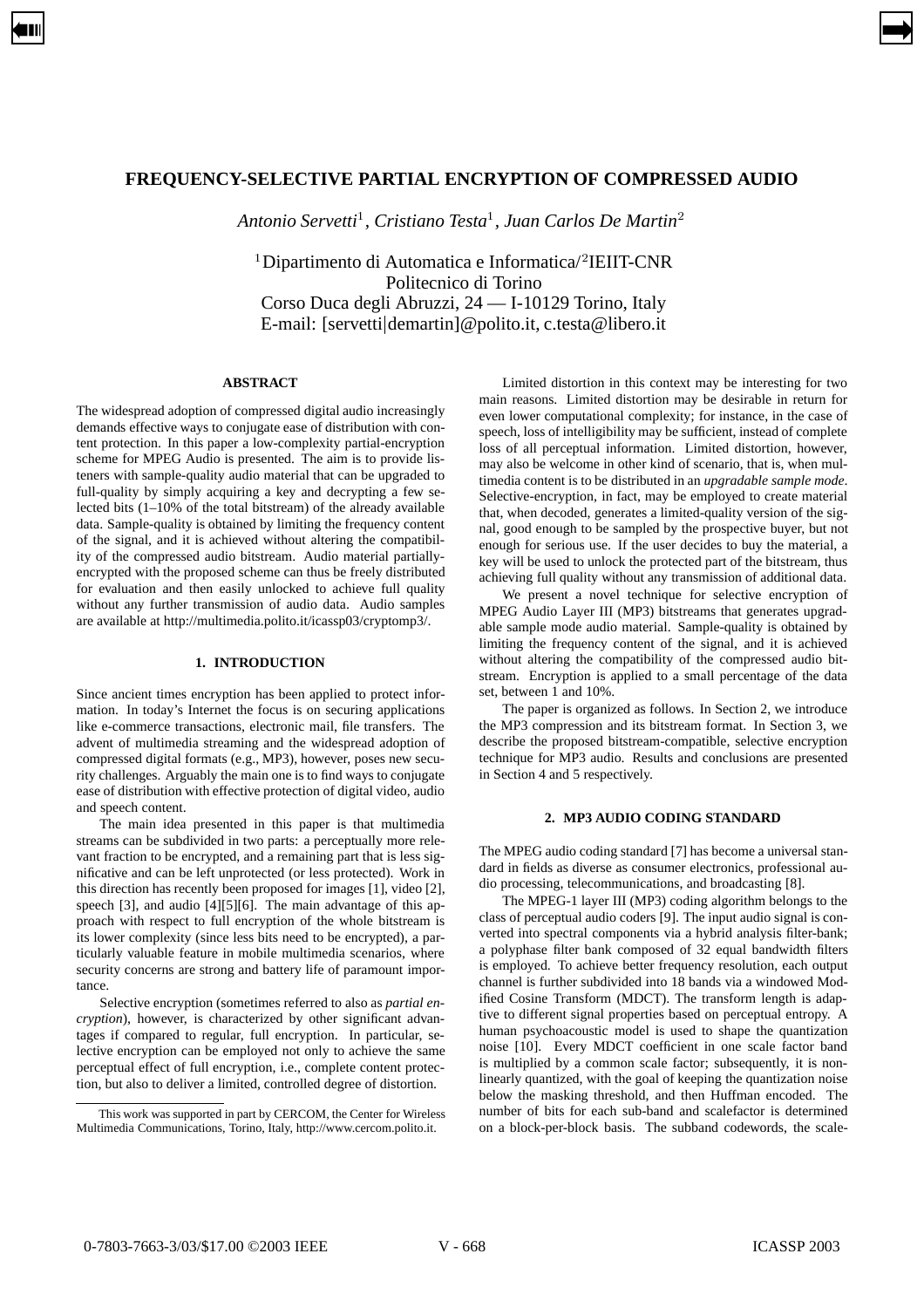# **FREQUENCY-SELECTIVE PARTIAL ENCRYPTION OF COMPRESSED AUDIO**

<span id="page-0-0"></span>[➡](#page-1-0)

*Antonio Servetti*<sup>1</sup> *, Cristiano Testa*<sup>1</sup> *, Juan Carlos De Martin*<sup>2</sup>

<sup>1</sup>Dipartimento di Automatica e Informatica/<sup>2</sup>IEIIT-CNR Politecnico di Torino Corso Duca degli Abruzzi, 24 — I-10129 Torino, Italy E-mail: [servettijdemartin]@polito.it, c.testa@libero.it

# **ABSTRACT**

The widespread adoption of compressed digital audio increasingly demands effective ways to conjugate ease of distribution with content protection. In this paper a low-complexity partial-encryption scheme for MPEG Audio is presented. The aim is to provide listeners with sample-quality audio material that can be upgraded to full-quality by simply acquiring a key and decrypting a few selected bits (1–10% of the total bitstream) of the already available data. Sample-quality is obtained by limiting the frequency content of the signal, and it is achieved without altering the compatibility of the compressed audio bitstream. Audio material partiallyencrypted with the proposed scheme can thus be freely distributed for evaluation and then easily unlocked to achieve full quality without any further transmission of audio data. Audio samples are available at http://multimedia.polito.it/icassp03/cryptomp3/.

# **1. INTRODUCTION**

Since ancient times encryption has been applied to protect information. In today's Internet the focus is on securing applications like e-commerce transactions, electronic mail, file transfers. The advent of multimedia streaming and the widespread adoption of compressed digital formats (e.g., MP3), however, poses new security challenges. Arguably the main one is to find ways to conjugate ease of distribution with effective protection of digital video, audio and speech content.

The main idea presented in this paper is that multimedia streams can be subdivided in two parts: a perceptually more relevant fraction to be encrypted, and a remaining part that is less significative and can be left unprotected (or less protected). Work in this direction has recently been proposed for images [1], video [2], speech [3], and audio [4][5][6]. The main advantage of this approach with respect to full encryption of the whole bitstream is its lower complexity (since less bits need to be encrypted), a particularly valuable feature in mobile multimedia scenarios, where security concerns are strong and battery life of paramount importance.

Selective encryption (sometimes referred to also as *partial encryption*), however, is characterized by other significant advantages if compared to regular, full encryption. In particular, selective encryption can be employed not only to achieve the same perceptual effect of full encryption, i.e., complete content protection, but also to deliver a limited, controlled degree of distortion.

Limited distortion in this context may be interesting for two main reasons. Limited distortion may be desirable in return for even lower computational complexity; for instance, in the case of speech, loss of intelligibility may be sufficient, instead of complete loss of all perceptual information. Limited distortion, however, may also be welcome in other kind of scenario, that is, when multimedia content is to be distributed in an *upgradable sample mode*. Selective-encryption, in fact, may be employed to create material that, when decoded, generates a limited-quality version of the signal, good enough to be sampled by the prospective buyer, but not enough for serious use. If the user decides to buy the material, a key will be used to unlock the protected part of the bitstream, thus achieving full quality without any transmission of additional data.

We present a novel technique for selective encryption of MPEG Audio Layer III (MP3) bitstreams that generates upgradable sample mode audio material. Sample-quality is obtained by limiting the frequency content of the signal, and it is achieved without altering the compatibility of the compressed audio bitstream. Encryption is applied to a small percentage of the data set, between 1 and 10%.

The paper is organized as follows. In Section 2, we introduce the MP3 compression and its bitstream format. In Section 3, we describe the proposed bitstream-compatible, selective encryption technique for MP3 audio. Results and conclusions are presented in Section 4 and 5 respectively.

#### **2. MP3 AUDIO CODING STANDARD**

The MPEG audio coding standard [7] has become a universal standard in fields as diverse as consumer electronics, professional audio processing, telecommunications, and broadcasting [8].

The MPEG-1 layer III (MP3) coding algorithm belongs to the class of perceptual audio coders [9]. The input audio signal is converted into spectral components via a hybrid analysis filter-bank; a polyphase filter bank composed of 32 equal bandwidth filters is employed. To achieve better frequency resolution, each output channel is further subdivided into 18 bands via a windowed Modified Cosine Transform (MDCT). The transform length is adaptive to different signal properties based on perceptual entropy. A human psychoacoustic model is used to shape the quantization noise [10]. Every MDCT coefficient in one scale factor band is multiplied by a common scale factor; subsequently, it is nonlinearly quantized, with the goal of keeping the quantization noise below the masking threshold, and then Huffman encoded. The number of bits for each sub-band and scalefactor is determined on a block-per-block basis. The subband codewords, the scale-

This work was supported in part by CERCOM, the Center for Wireless Multimedia Communications, Torino, Italy, http://www.cercom.polito.it.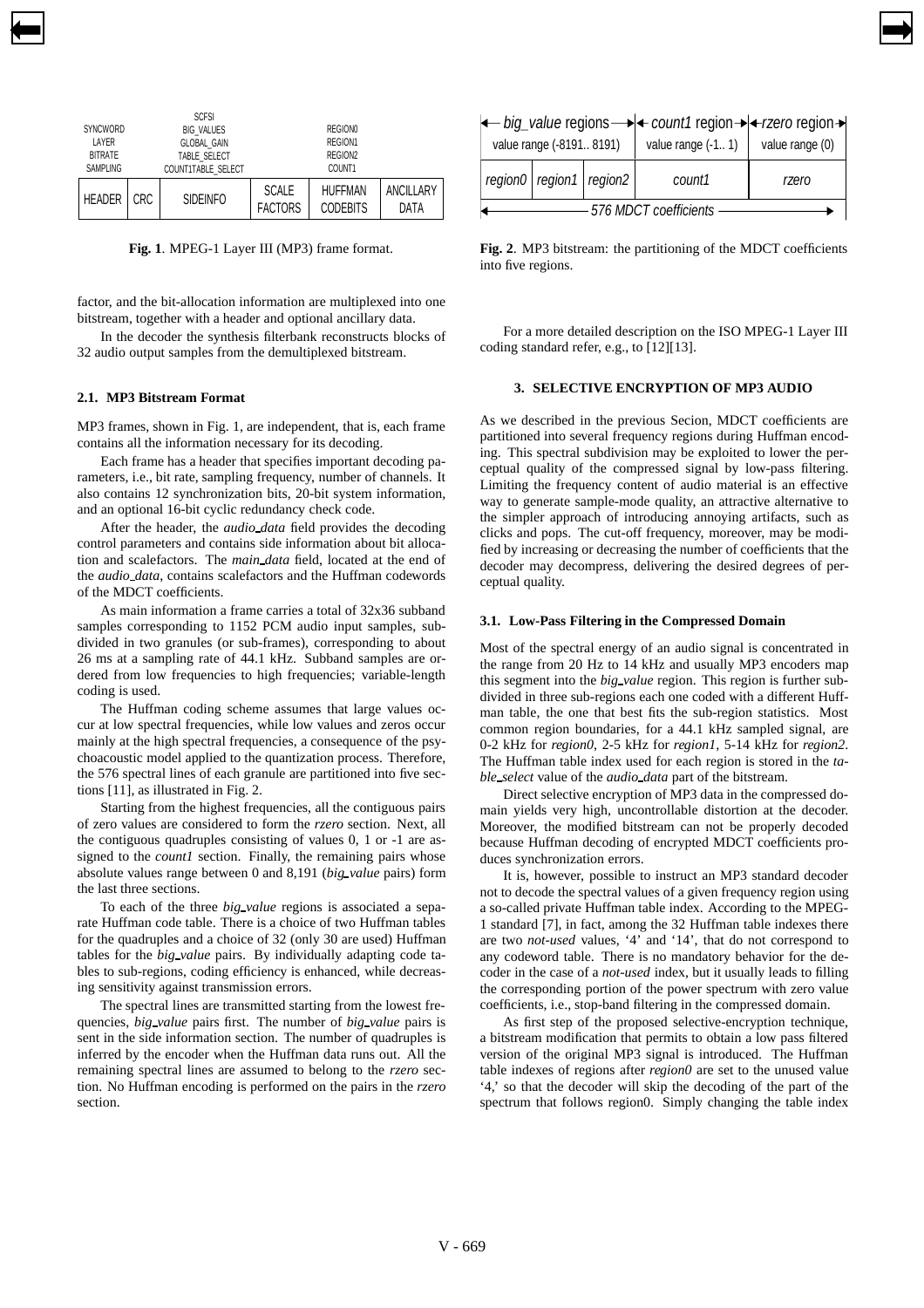| <b>HEADER</b>              | CRC.                       | <b>SIDEINFO</b>                                         | <b>SCALE</b><br><b>FACTORS</b> | <b>HUFFMAN</b><br><b>CODEBITS</b> | <b>ANCILLARY</b><br>DATA |  |
|----------------------------|----------------------------|---------------------------------------------------------|--------------------------------|-----------------------------------|--------------------------|--|
| <b>BITRATE</b><br>SAMPLING |                            | TABLE SELECT<br>REGION2<br>COUNT1<br>COUNT1TABLE SELECT |                                |                                   |                          |  |
| LAYER                      |                            | <b>GLOBAL GAIN</b><br>REGION1                           |                                |                                   |                          |  |
| <b>SYNCWORD</b>            | ১৮৮১৷<br><b>BIG VALUES</b> |                                                         |                                | REGION0                           |                          |  |

**Fig. 1**. MPEG-1 Layer III (MP3) frame format.

factor, and the bit-allocation information are multiplexed into one bitstream, together with a header and optional ancillary data.

In the decoder the synthesis filterbank reconstructs blocks of 32 audio output samples from the demultiplexed bitstream.

# **2.1. MP3 Bitstream Format**

<span id="page-1-0"></span>[➡](#page-0-0)

MP3 frames, shown in Fig. 1, are independent, that is, each frame contains all the information necessary for its decoding.

Each frame has a header that specifies important decoding parameters, i.e., bit rate, sampling frequency, number of channels. It also contains 12 synchronization bits, 20-bit system information, and an optional 16-bit cyclic redundancy check code.

After the header, the *audio data* field provides the decoding control parameters and contains side information about bit allocation and scalefactors. The *main data* field, located at the end of the *audio data*, contains scalefactors and the Huffman codewords of the MDCT coefficients.

As main information a frame carries a total of 32x36 subband samples corresponding to 1152 PCM audio input samples, subdivided in two granules (or sub-frames), corresponding to about 26 ms at a sampling rate of 44.1 kHz. Subband samples are ordered from low frequencies to high frequencies; variable-length coding is used.

The Huffman coding scheme assumes that large values occur at low spectral frequencies, while low values and zeros occur mainly at the high spectral frequencies, a consequence of the psychoacoustic model applied to the quantization process. Therefore, the 576 spectral lines of each granule are partitioned into five sections [11], as illustrated in Fig. 2.

Starting from the highest frequencies, all the contiguous pairs of zero values are considered to form the *rzero* section. Next, all the contiguous quadruples consisting of values 0, 1 or -1 are assigned to the *count1* section. Finally, the remaining pairs whose absolute values range between 0 and 8,191 (*big value* pairs) form the last three sections.

To each of the three *big value* regions is associated a separate Huffman code table. There is a choice of two Huffman tables for the quadruples and a choice of 32 (only 30 are used) Huffman tables for the *big value* pairs. By individually adapting code tables to sub-regions, coding efficiency is enhanced, while decreasing sensitivity against transmission errors.

The spectral lines are transmitted starting from the lowest frequencies, *big value* pairs first. The number of *big value* pairs is sent in the side information section. The number of quadruples is inferred by the encoder when the Huffman data runs out. All the remaining spectral lines are assumed to belong to the *rzero* section. No Huffman encoding is performed on the pairs in the *rzero* section.

|                                         |                          |  | $\leftarrow$ big_value regions $\rightarrow$ $\leftarrow$ count1 region $\rightarrow$ $\leftarrow$ rzero region $\rightarrow$ |                 |  |  |  |
|-----------------------------------------|--------------------------|--|-------------------------------------------------------------------------------------------------------------------------------|-----------------|--|--|--|
|                                         | value range (-8191 8191) |  | value range $(-1, 1)$                                                                                                         | value range (0) |  |  |  |
| $ $ region0 $ $ region1 $ $ region2 $ $ |                          |  | count1                                                                                                                        | rzero           |  |  |  |
| 576 MDCT coefficients                   |                          |  |                                                                                                                               |                 |  |  |  |

[➡](#page-2-0)

**Fig. 2**. MP3 bitstream: the partitioning of the MDCT coefficients into five regions.

For a more detailed description on the ISO MPEG-1 Layer III coding standard refer, e.g., to [12][13].

## **3. SELECTIVE ENCRYPTION OF MP3 AUDIO**

As we described in the previous Secion, MDCT coefficients are partitioned into several frequency regions during Huffman encoding. This spectral subdivision may be exploited to lower the perceptual quality of the compressed signal by low-pass filtering. Limiting the frequency content of audio material is an effective way to generate sample-mode quality, an attractive alternative to the simpler approach of introducing annoying artifacts, such as clicks and pops. The cut-off frequency, moreover, may be modified by increasing or decreasing the number of coefficients that the decoder may decompress, delivering the desired degrees of perceptual quality.

#### **3.1. Low-Pass Filtering in the Compressed Domain**

Most of the spectral energy of an audio signal is concentrated in the range from 20 Hz to 14 kHz and usually MP3 encoders map this segment into the *big value* region. This region is further subdivided in three sub-regions each one coded with a different Huffman table, the one that best fits the sub-region statistics. Most common region boundaries, for a 44.1 kHz sampled signal, are 0-2 kHz for *region0*, 2-5 kHz for *region1*, 5-14 kHz for *region2*. The Huffman table index used for each region is stored in the *table select* value of the *audio data* part of the bitstream.

Direct selective encryption of MP3 data in the compressed domain yields very high, uncontrollable distortion at the decoder. Moreover, the modified bitstream can not be properly decoded because Huffman decoding of encrypted MDCT coefficients produces synchronization errors.

It is, however, possible to instruct an MP3 standard decoder not to decode the spectral values of a given frequency region using a so-called private Huffman table index. According to the MPEG-1 standard [7], in fact, among the 32 Huffman table indexes there are two *not-used* values, '4' and '14', that do not correspond to any codeword table. There is no mandatory behavior for the decoder in the case of a *not-used* index, but it usually leads to filling the corresponding portion of the power spectrum with zero value coefficients, i.e., stop-band filtering in the compressed domain.

As first step of the proposed selective-encryption technique, a bitstream modification that permits to obtain a low pass filtered version of the original MP3 signal is introduced. The Huffman table indexes of regions after *region0* are set to the unused value '4,' so that the decoder will skip the decoding of the part of the spectrum that follows region0. Simply changing the table index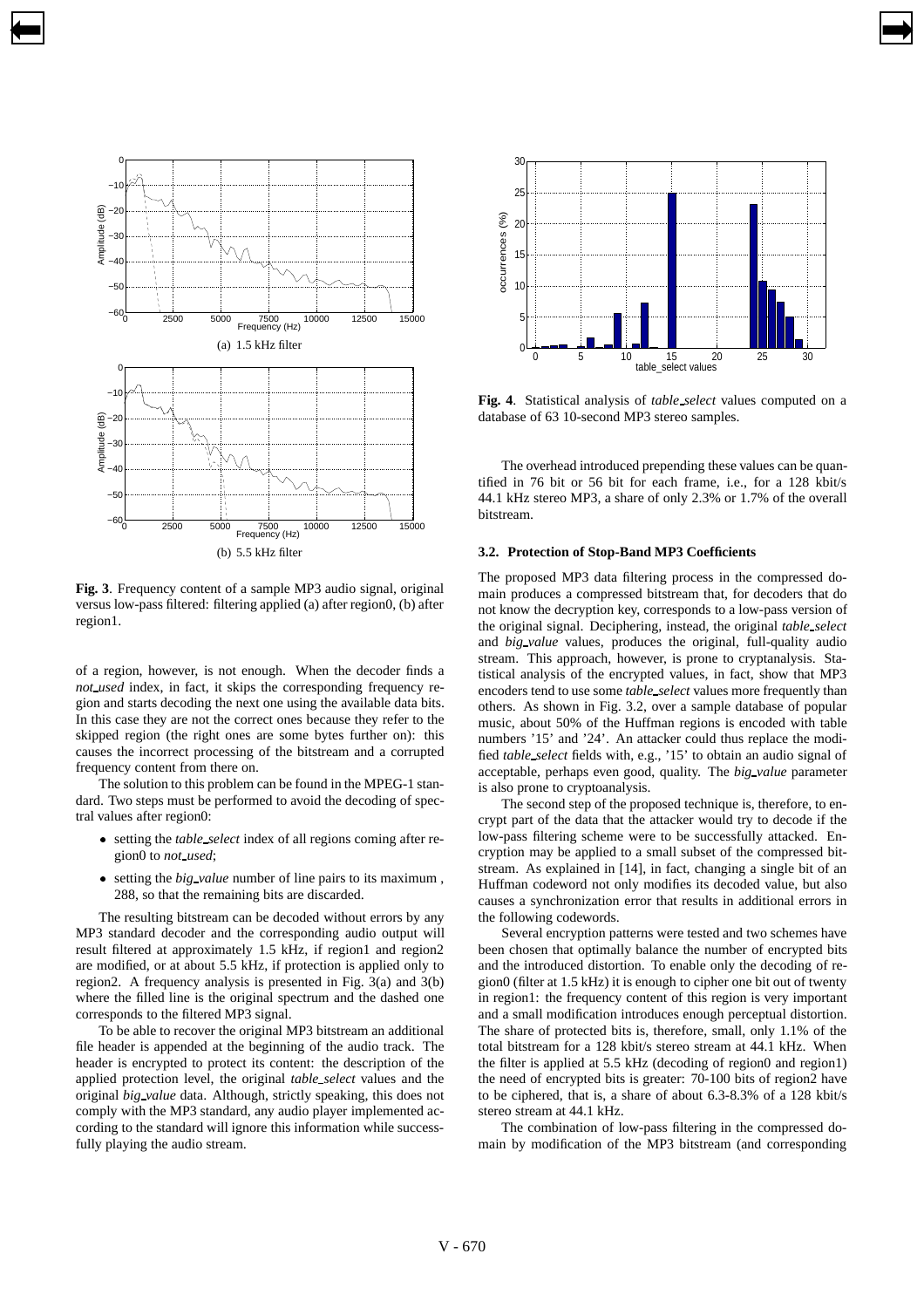

<span id="page-2-0"></span>[➡](#page-1-0)

**Fig. 3**. Frequency content of a sample MP3 audio signal, original versus low-pass filtered: filtering applied (a) after region0, (b) after region1.

of a region, however, is not enough. When the decoder finds a *not used* index, in fact, it skips the corresponding frequency region and starts decoding the next one using the available data bits. In this case they are not the correct ones because they refer to the skipped region (the right ones are some bytes further on): this causes the incorrect processing of the bitstream and a corrupted frequency content from there on.

The solution to this problem can be found in the MPEG-1 standard. Two steps must be performed to avoid the decoding of spectral values after region0:

- setting the *table select* index of all regions coming after region0 to *not used*;
- setting the *big value* number of line pairs to its maximum , 288, so that the remaining bits are discarded.

The resulting bitstream can be decoded without errors by any MP3 standard decoder and the corresponding audio output will result filtered at approximately 1.5 kHz, if region1 and region2 are modified, or at about 5.5 kHz, if protection is applied only to region2. A frequency analysis is presented in Fig. 3(a) and 3(b) where the filled line is the original spectrum and the dashed one corresponds to the filtered MP3 signal.

To be able to recover the original MP3 bitstream an additional file header is appended at the beginning of the audio track. The header is encrypted to protect its content: the description of the applied protection level, the original *table select* values and the original *big value* data. Although, strictly speaking, this does not comply with the MP3 standard, any audio player implemented according to the standard will ignore this information while successfully playing the audio stream.



[➡](#page-3-0)

**Fig. 4**. Statistical analysis of *table select* values computed on a database of 63 10-second MP3 stereo samples.

The overhead introduced prepending these values can be quantified in 76 bit or 56 bit for each frame, i.e., for a 128 kbit/s 44.1 kHz stereo MP3, a share of only 2.3% or 1.7% of the overall bitstream.

# **3.2. Protection of Stop-Band MP3 Coefficients**

The proposed MP3 data filtering process in the compressed domain produces a compressed bitstream that, for decoders that do not know the decryption key, corresponds to a low-pass version of the original signal. Deciphering, instead, the original *table select* and *big value* values, produces the original, full-quality audio stream. This approach, however, is prone to cryptanalysis. Statistical analysis of the encrypted values, in fact, show that MP3 encoders tend to use some *table select* values more frequently than others. As shown in Fig. 3.2, over a sample database of popular music, about 50% of the Huffman regions is encoded with table numbers '15' and '24'. An attacker could thus replace the modified *table select* fields with, e.g., '15' to obtain an audio signal of acceptable, perhaps even good, quality. The *big-value* parameter is also prone to cryptoanalysis.

The second step of the proposed technique is, therefore, to encrypt part of the data that the attacker would try to decode if the low-pass filtering scheme were to be successfully attacked. Encryption may be applied to a small subset of the compressed bitstream. As explained in [14], in fact, changing a single bit of an Huffman codeword not only modifies its decoded value, but also causes a synchronization error that results in additional errors in the following codewords.

Several encryption patterns were tested and two schemes have been chosen that optimally balance the number of encrypted bits and the introduced distortion. To enable only the decoding of region0 (filter at 1.5 kHz) it is enough to cipher one bit out of twenty in region1: the frequency content of this region is very important and a small modification introduces enough perceptual distortion. The share of protected bits is, therefore, small, only 1.1% of the total bitstream for a 128 kbit/s stereo stream at 44.1 kHz. When the filter is applied at 5.5 kHz (decoding of region0 and region1) the need of encrypted bits is greater: 70-100 bits of region2 have to be ciphered, that is, a share of about 6.3-8.3% of a 128 kbit/s stereo stream at 44.1 kHz.

The combination of low-pass filtering in the compressed domain by modification of the MP3 bitstream (and corresponding